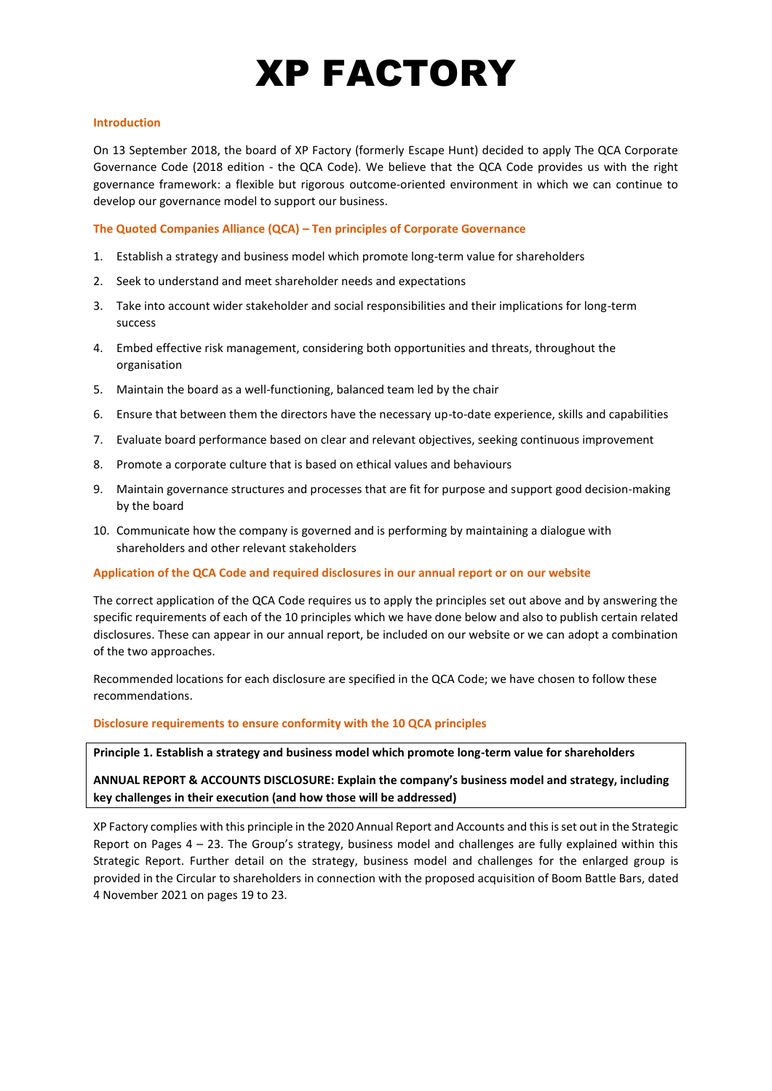# XP FACTORY

#### **Introduction**

On 13 September 2018, the board of XP Factory (formerly Escape Hunt) decided to apply The QCA Corporate Governance Code (2018 edition - the QCA Code). We believe that the QCA Code provides us with the right governance framework: a flexible but rigorous outcome-oriented environment in which we can continue to develop our governance model to support our business.

**The Quoted Companies Alliance (QCA) – Ten principles of Corporate Governance**

- 1. Establish a strategy and business model which promote long-term value for shareholders
- 2. Seek to understand and meet shareholder needs and expectations
- 3. Take into account wider stakeholder and social responsibilities and their implications for long-term success
- 4. Embed effective risk management, considering both opportunities and threats, throughout the organisation
- 5. Maintain the board as a well-functioning, balanced team led by the chair
- 6. Ensure that between them the directors have the necessary up-to-date experience, skills and capabilities
- 7. Evaluate board performance based on clear and relevant objectives, seeking continuous improvement
- 8. Promote a corporate culture that is based on ethical values and behaviours
- 9. Maintain governance structures and processes that are fit for purpose and support good decision-making by the board
- 10. Communicate how the company is governed and is performing by maintaining a dialogue with shareholders and other relevant stakeholders

#### **Application of the QCA Code and required disclosures in our annual report or on our website**

The correct application of the QCA Code requires us to apply the principles set out above and by answering the specific requirements of each of the 10 principles which we have done below and also to publish certain related disclosures. These can appear in our annual report, be included on our website or we can adopt a combination of the two approaches.

Recommended locations for each disclosure are specified in the QCA Code; we have chosen to follow these recommendations.

#### **Disclosure requirements to ensure conformity with the 10 QCA principles**

**Principle 1. Establish a strategy and business model which promote long-term value for shareholders**

**ANNUAL REPORT & ACCOUNTS DISCLOSURE: Explain the company's business model and strategy, including key challenges in their execution (and how those will be addressed)**

XP Factory complies with this principle in the 2020 Annual Report and Accounts and this is set out in the Strategic Report on Pages 4 – 23. The Group's strategy, business model and challenges are fully explained within this Strategic Report. Further detail on the strategy, business model and challenges for the enlarged group is provided in the Circular to shareholders in connection with the proposed acquisition of Boom Battle Bars, dated 4 November 2021 on pages 19 to 23.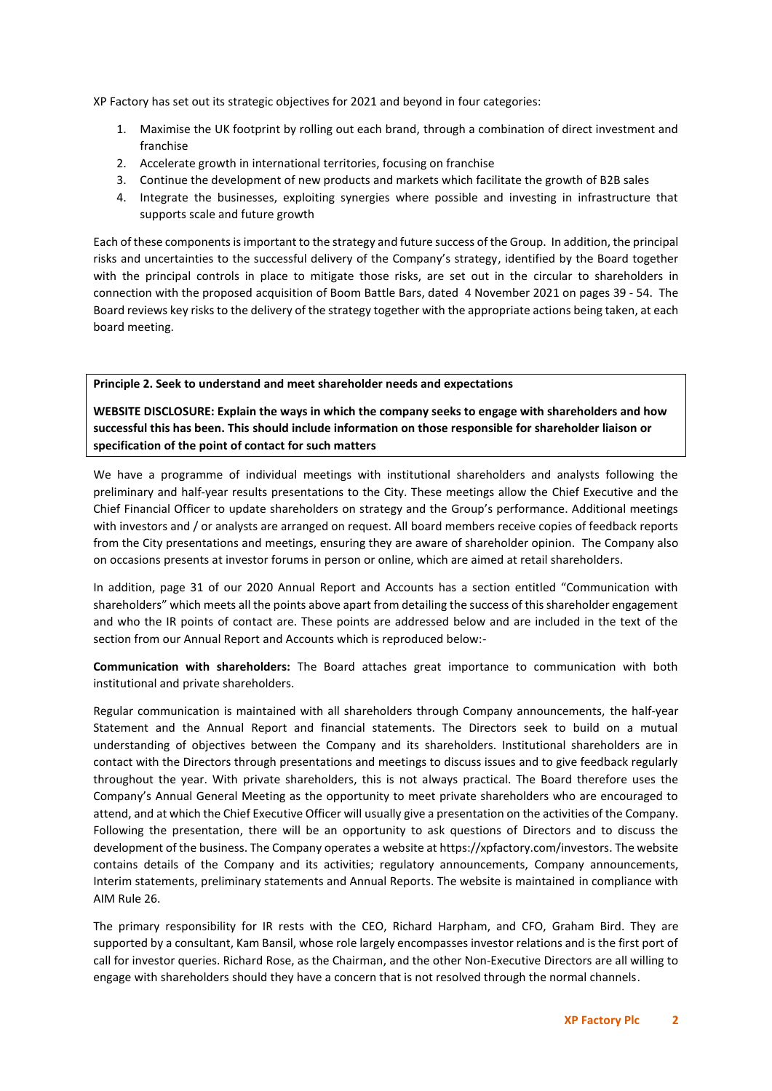XP Factory has set out its strategic objectives for 2021 and beyond in four categories:

- 1. Maximise the UK footprint by rolling out each brand, through a combination of direct investment and franchise
- 2. Accelerate growth in international territories, focusing on franchise
- 3. Continue the development of new products and markets which facilitate the growth of B2B sales
- 4. Integrate the businesses, exploiting synergies where possible and investing in infrastructure that supports scale and future growth

Each of these components is important to the strategy and future success of the Group. In addition, the principal risks and uncertainties to the successful delivery of the Company's strategy, identified by the Board together with the principal controls in place to mitigate those risks, are set out in the circular to shareholders in connection with the proposed acquisition of Boom Battle Bars, dated 4 November 2021 on pages 39 - 54. The Board reviews key risks to the delivery of the strategy together with the appropriate actions being taken, at each board meeting.

## **Principle 2. Seek to understand and meet shareholder needs and expectations**

**WEBSITE DISCLOSURE: Explain the ways in which the company seeks to engage with shareholders and how successful this has been. This should include information on those responsible for shareholder liaison or specification of the point of contact for such matters** 

We have a programme of individual meetings with institutional shareholders and analysts following the preliminary and half-year results presentations to the City. These meetings allow the Chief Executive and the Chief Financial Officer to update shareholders on strategy and the Group's performance. Additional meetings with investors and / or analysts are arranged on request. All board members receive copies of feedback reports from the City presentations and meetings, ensuring they are aware of shareholder opinion. The Company also on occasions presents at investor forums in person or online, which are aimed at retail shareholders.

In addition, page 31 of our 2020 Annual Report and Accounts has a section entitled "Communication with shareholders" which meets all the points above apart from detailing the success of this shareholder engagement and who the IR points of contact are. These points are addressed below and are included in the text of the section from our Annual Report and Accounts which is reproduced below:-

**Communication with shareholders:** The Board attaches great importance to communication with both institutional and private shareholders.

Regular communication is maintained with all shareholders through Company announcements, the half-year Statement and the Annual Report and financial statements. The Directors seek to build on a mutual understanding of objectives between the Company and its shareholders. Institutional shareholders are in contact with the Directors through presentations and meetings to discuss issues and to give feedback regularly throughout the year. With private shareholders, this is not always practical. The Board therefore uses the Company's Annual General Meeting as the opportunity to meet private shareholders who are encouraged to attend, and at which the Chief Executive Officer will usually give a presentation on the activities of the Company. Following the presentation, there will be an opportunity to ask questions of Directors and to discuss the development of the business. The Company operates a website at https://xpfactory.com/investors. The website contains details of the Company and its activities; regulatory announcements, Company announcements, Interim statements, preliminary statements and Annual Reports. The website is maintained in compliance with AIM Rule 26.

The primary responsibility for IR rests with the CEO, Richard Harpham, and CFO, Graham Bird. They are supported by a consultant, Kam Bansil, whose role largely encompasses investor relations and is the first port of call for investor queries. Richard Rose, as the Chairman, and the other Non-Executive Directors are all willing to engage with shareholders should they have a concern that is not resolved through the normal channels.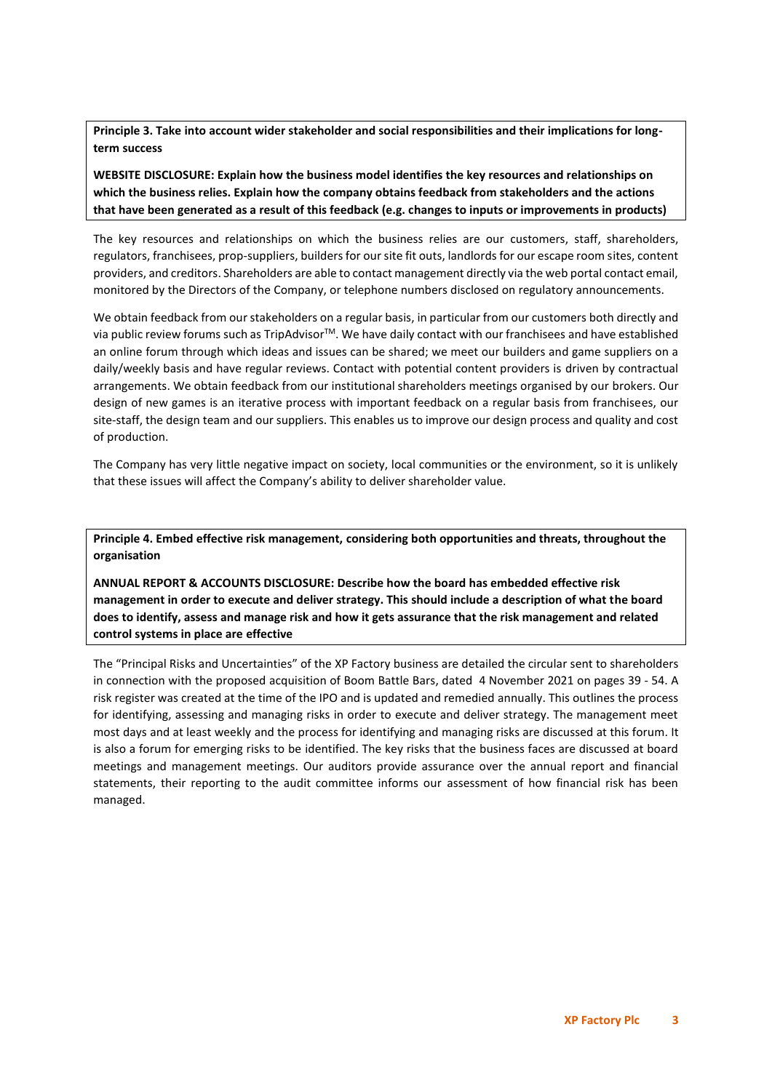**Principle 3. Take into account wider stakeholder and social responsibilities and their implications for longterm success**

**WEBSITE DISCLOSURE: Explain how the business model identifies the key resources and relationships on which the business relies. Explain how the company obtains feedback from stakeholders and the actions that have been generated as a result of this feedback (e.g. changes to inputs or improvements in products)**

The key resources and relationships on which the business relies are our customers, staff, shareholders, regulators, franchisees, prop-suppliers, builders for our site fit outs, landlords for our escape room sites, content providers, and creditors. Shareholders are able to contact management directly via the web portal contact email, monitored by the Directors of the Company, or telephone numbers disclosed on regulatory announcements.

We obtain feedback from our stakeholders on a regular basis, in particular from our customers both directly and via public review forums such as TripAdvisorTM. We have daily contact with our franchisees and have established an online forum through which ideas and issues can be shared; we meet our builders and game suppliers on a daily/weekly basis and have regular reviews. Contact with potential content providers is driven by contractual arrangements. We obtain feedback from our institutional shareholders meetings organised by our brokers. Our design of new games is an iterative process with important feedback on a regular basis from franchisees, our site-staff, the design team and our suppliers. This enables us to improve our design process and quality and cost of production.

The Company has very little negative impact on society, local communities or the environment, so it is unlikely that these issues will affect the Company's ability to deliver shareholder value.

**Principle 4. Embed effective risk management, considering both opportunities and threats, throughout the organisation**

**ANNUAL REPORT & ACCOUNTS DISCLOSURE: Describe how the board has embedded effective risk management in order to execute and deliver strategy. This should include a description of what the board does to identify, assess and manage risk and how it gets assurance that the risk management and related control systems in place are effective**

The "Principal Risks and Uncertainties" of the XP Factory business are detailed the circular sent to shareholders in connection with the proposed acquisition of Boom Battle Bars, dated 4 November 2021 on pages 39 - 54. A risk register was created at the time of the IPO and is updated and remedied annually. This outlines the process for identifying, assessing and managing risks in order to execute and deliver strategy. The management meet most days and at least weekly and the process for identifying and managing risks are discussed at this forum. It is also a forum for emerging risks to be identified. The key risks that the business faces are discussed at board meetings and management meetings. Our auditors provide assurance over the annual report and financial statements, their reporting to the audit committee informs our assessment of how financial risk has been managed.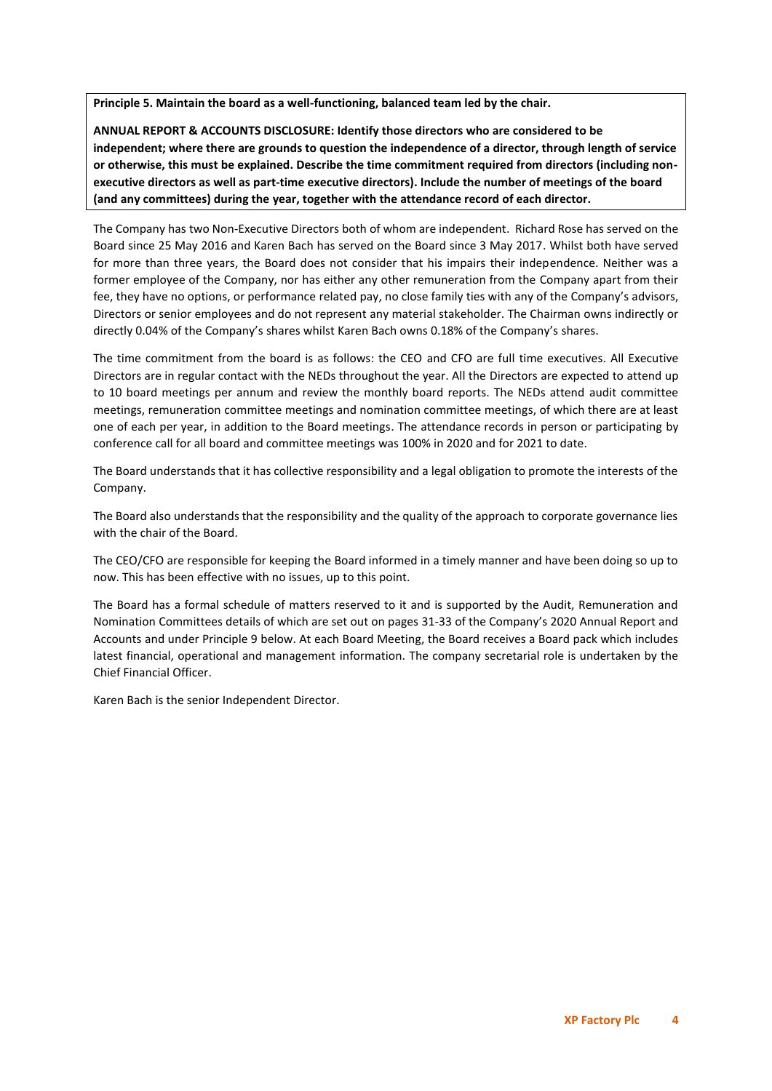**Principle 5. Maintain the board as a well-functioning, balanced team led by the chair.**

**ANNUAL REPORT & ACCOUNTS DISCLOSURE: Identify those directors who are considered to be independent; where there are grounds to question the independence of a director, through length of service or otherwise, this must be explained. Describe the time commitment required from directors (including nonexecutive directors as well as part-time executive directors). Include the number of meetings of the board (and any committees) during the year, together with the attendance record of each director.**

The Company has two Non-Executive Directors both of whom are independent. Richard Rose has served on the Board since 25 May 2016 and Karen Bach has served on the Board since 3 May 2017. Whilst both have served for more than three years, the Board does not consider that his impairs their independence. Neither was a former employee of the Company, nor has either any other remuneration from the Company apart from their fee, they have no options, or performance related pay, no close family ties with any of the Company's advisors, Directors or senior employees and do not represent any material stakeholder. The Chairman owns indirectly or directly 0.04% of the Company's shares whilst Karen Bach owns 0.18% of the Company's shares.

The time commitment from the board is as follows: the CEO and CFO are full time executives. All Executive Directors are in regular contact with the NEDs throughout the year. All the Directors are expected to attend up to 10 board meetings per annum and review the monthly board reports. The NEDs attend audit committee meetings, remuneration committee meetings and nomination committee meetings, of which there are at least one of each per year, in addition to the Board meetings. The attendance records in person or participating by conference call for all board and committee meetings was 100% in 2020 and for 2021 to date.

The Board understands that it has collective responsibility and a legal obligation to promote the interests of the Company.

The Board also understands that the responsibility and the quality of the approach to corporate governance lies with the chair of the Board.

The CEO/CFO are responsible for keeping the Board informed in a timely manner and have been doing so up to now. This has been effective with no issues, up to this point.

The Board has a formal schedule of matters reserved to it and is supported by the Audit, Remuneration and Nomination Committees details of which are set out on pages 31-33 of the Company's 2020 Annual Report and Accounts and under Principle 9 below. At each Board Meeting, the Board receives a Board pack which includes latest financial, operational and management information. The company secretarial role is undertaken by the Chief Financial Officer.

Karen Bach is the senior Independent Director.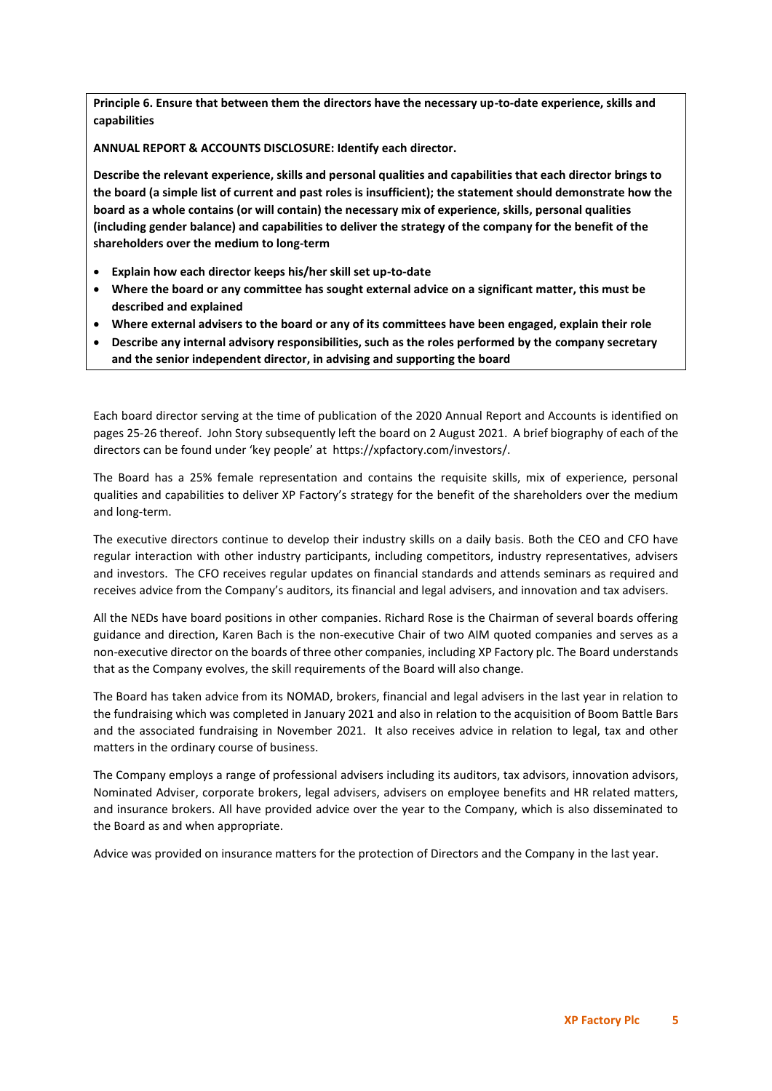**Principle 6. Ensure that between them the directors have the necessary up-to-date experience, skills and capabilities**

**ANNUAL REPORT & ACCOUNTS DISCLOSURE: Identify each director.**

**Describe the relevant experience, skills and personal qualities and capabilities that each director brings to the board (a simple list of current and past roles is insufficient); the statement should demonstrate how the board as a whole contains (or will contain) the necessary mix of experience, skills, personal qualities (including gender balance) and capabilities to deliver the strategy of the company for the benefit of the shareholders over the medium to long-term**

- **Explain how each director keeps his/her skill set up-to-date**
- **Where the board or any committee has sought external advice on a significant matter, this must be described and explained**
- **Where external advisers to the board or any of its committees have been engaged, explain their role**
- **Describe any internal advisory responsibilities, such as the roles performed by the company secretary and the senior independent director, in advising and supporting the board**

Each board director serving at the time of publication of the 2020 Annual Report and Accounts is identified on pages 25-26 thereof. John Story subsequently left the board on 2 August 2021. A brief biography of each of the directors can be found under 'key people' at https://xpfactory.com/investors/.

The Board has a 25% female representation and contains the requisite skills, mix of experience, personal qualities and capabilities to deliver XP Factory's strategy for the benefit of the shareholders over the medium and long-term.

The executive directors continue to develop their industry skills on a daily basis. Both the CEO and CFO have regular interaction with other industry participants, including competitors, industry representatives, advisers and investors. The CFO receives regular updates on financial standards and attends seminars as required and receives advice from the Company's auditors, its financial and legal advisers, and innovation and tax advisers.

All the NEDs have board positions in other companies. Richard Rose is the Chairman of several boards offering guidance and direction, Karen Bach is the non-executive Chair of two AIM quoted companies and serves as a non-executive director on the boards of three other companies, including XP Factory plc. The Board understands that as the Company evolves, the skill requirements of the Board will also change.

The Board has taken advice from its NOMAD, brokers, financial and legal advisers in the last year in relation to the fundraising which was completed in January 2021 and also in relation to the acquisition of Boom Battle Bars and the associated fundraising in November 2021. It also receives advice in relation to legal, tax and other matters in the ordinary course of business.

The Company employs a range of professional advisers including its auditors, tax advisors, innovation advisors, Nominated Adviser, corporate brokers, legal advisers, advisers on employee benefits and HR related matters, and insurance brokers. All have provided advice over the year to the Company, which is also disseminated to the Board as and when appropriate.

Advice was provided on insurance matters for the protection of Directors and the Company in the last year.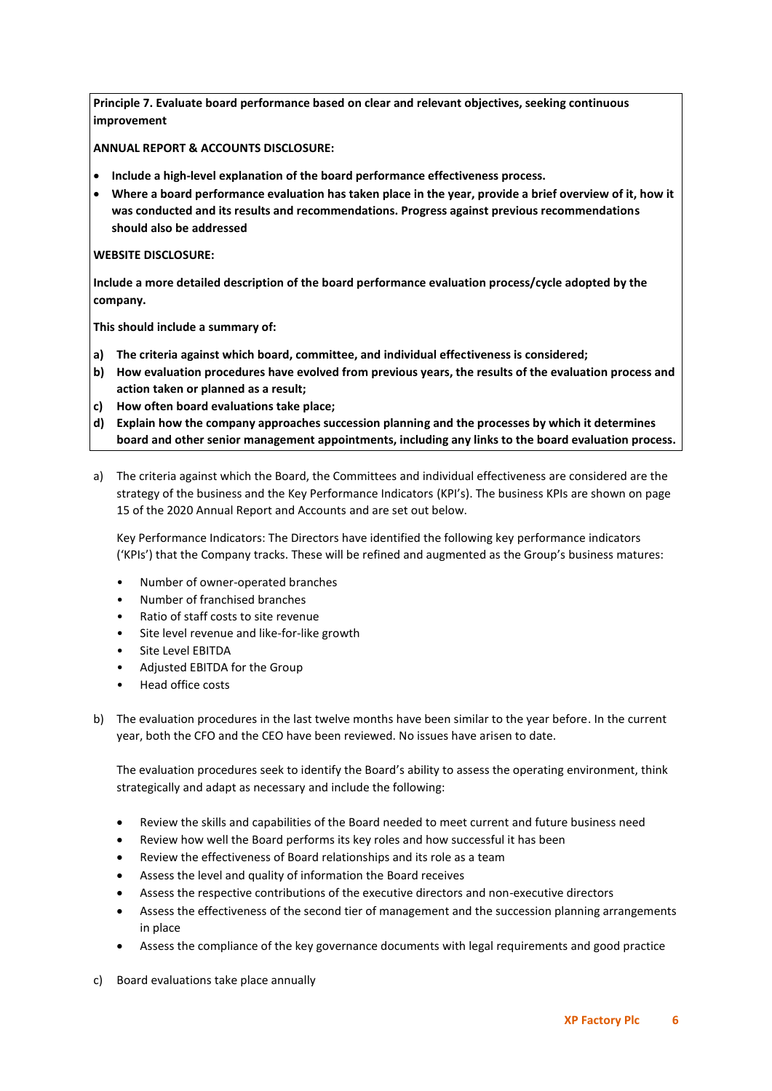**Principle 7. Evaluate board performance based on clear and relevant objectives, seeking continuous improvement**

**ANNUAL REPORT & ACCOUNTS DISCLOSURE:**

- **Include a high-level explanation of the board performance effectiveness process.**
- **Where a board performance evaluation has taken place in the year, provide a brief overview of it, how it was conducted and its results and recommendations. Progress against previous recommendations should also be addressed**

# **WEBSITE DISCLOSURE:**

**Include a more detailed description of the board performance evaluation process/cycle adopted by the company.**

**This should include a summary of:**

- **a) The criteria against which board, committee, and individual effectiveness is considered;**
- **b) How evaluation procedures have evolved from previous years, the results of the evaluation process and action taken or planned as a result;**
- **c) How often board evaluations take place;**
- **d) Explain how the company approaches succession planning and the processes by which it determines board and other senior management appointments, including any links to the board evaluation process.**
- a) The criteria against which the Board, the Committees and individual effectiveness are considered are the strategy of the business and the Key Performance Indicators (KPI's). The business KPIs are shown on page 15 of the 2020 Annual Report and Accounts and are set out below.

Key Performance Indicators: The Directors have identified the following key performance indicators ('KPIs') that the Company tracks. These will be refined and augmented as the Group's business matures:

- Number of owner-operated branches
- Number of franchised branches
- Ratio of staff costs to site revenue
- Site level revenue and like-for-like growth
- Site Level EBITDA
- Adjusted EBITDA for the Group
- Head office costs

b) The evaluation procedures in the last twelve months have been similar to the year before. In the current year, both the CFO and the CEO have been reviewed. No issues have arisen to date.

The evaluation procedures seek to identify the Board's ability to assess the operating environment, think strategically and adapt as necessary and include the following:

- Review the skills and capabilities of the Board needed to meet current and future business need
- Review how well the Board performs its key roles and how successful it has been
- Review the effectiveness of Board relationships and its role as a team
- Assess the level and quality of information the Board receives
- Assess the respective contributions of the executive directors and non-executive directors
- Assess the effectiveness of the second tier of management and the succession planning arrangements in place
- Assess the compliance of the key governance documents with legal requirements and good practice
- c) Board evaluations take place annually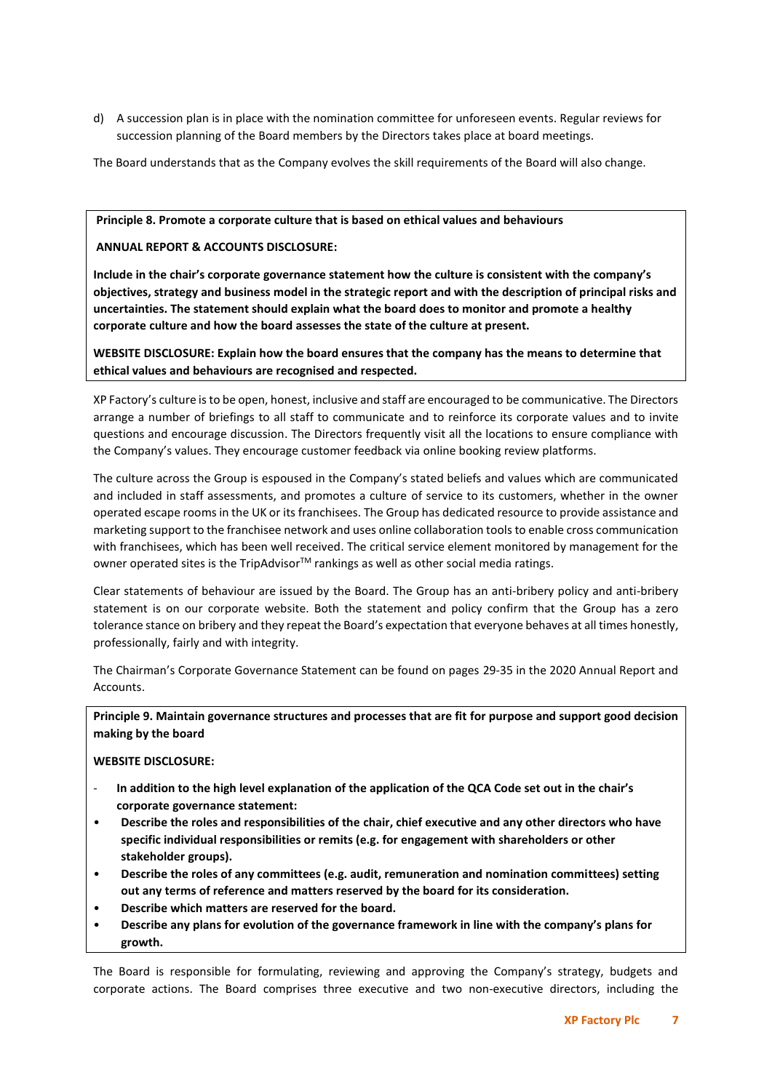d) A succession plan is in place with the nomination committee for unforeseen events. Regular reviews for succession planning of the Board members by the Directors takes place at board meetings.

The Board understands that as the Company evolves the skill requirements of the Board will also change.

# **Principle 8. Promote a corporate culture that is based on ethical values and behaviours**

**ANNUAL REPORT & ACCOUNTS DISCLOSURE:**

**Include in the chair's corporate governance statement how the culture is consistent with the company's objectives, strategy and business model in the strategic report and with the description of principal risks and uncertainties. The statement should explain what the board does to monitor and promote a healthy corporate culture and how the board assesses the state of the culture at present.**

**WEBSITE DISCLOSURE: Explain how the board ensures that the company has the means to determine that ethical values and behaviours are recognised and respected.**

XP Factory's culture is to be open, honest, inclusive and staff are encouraged to be communicative. The Directors arrange a number of briefings to all staff to communicate and to reinforce its corporate values and to invite questions and encourage discussion. The Directors frequently visit all the locations to ensure compliance with the Company's values. They encourage customer feedback via online booking review platforms.

The culture across the Group is espoused in the Company's stated beliefs and values which are communicated and included in staff assessments, and promotes a culture of service to its customers, whether in the owner operated escape rooms in the UK or its franchisees. The Group has dedicated resource to provide assistance and marketing support to the franchisee network and uses online collaboration tools to enable cross communication with franchisees, which has been well received. The critical service element monitored by management for the owner operated sites is the TripAdvisor $TM$  rankings as well as other social media ratings.

Clear statements of behaviour are issued by the Board. The Group has an anti-bribery policy and anti-bribery statement is on our corporate website. Both the statement and policy confirm that the Group has a zero tolerance stance on bribery and they repeat the Board's expectation that everyone behaves at all times honestly, professionally, fairly and with integrity.

The Chairman's Corporate Governance Statement can be found on pages 29-35 in the 2020 Annual Report and Accounts.

**Principle 9. Maintain governance structures and processes that are fit for purpose and support good decision making by the board**

**WEBSITE DISCLOSURE:**

- **In addition to the high level explanation of the application of the QCA Code set out in the chair's corporate governance statement:**
- **Describe the roles and responsibilities of the chair, chief executive and any other directors who have specific individual responsibilities or remits (e.g. for engagement with shareholders or other stakeholder groups).**
- **Describe the roles of any committees (e.g. audit, remuneration and nomination committees) setting out any terms of reference and matters reserved by the board for its consideration.**
- **Describe which matters are reserved for the board.**
- **Describe any plans for evolution of the governance framework in line with the company's plans for growth.**

The Board is responsible for formulating, reviewing and approving the Company's strategy, budgets and corporate actions. The Board comprises three executive and two non-executive directors, including the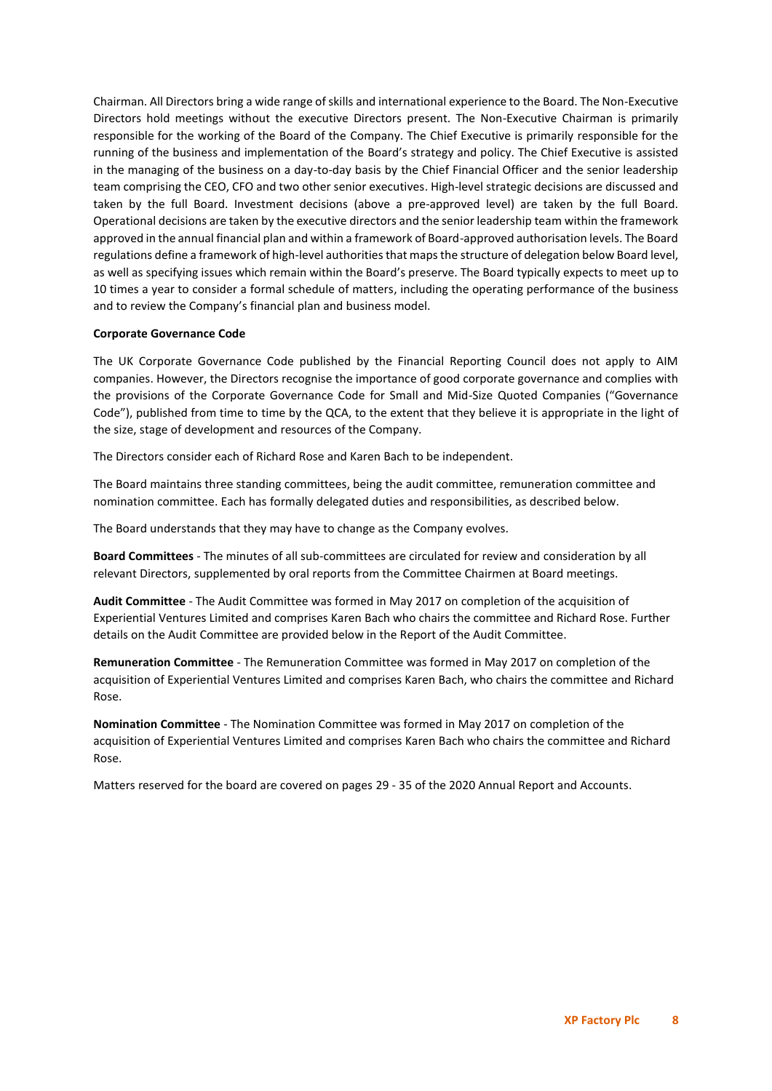Chairman. All Directors bring a wide range of skills and international experience to the Board. The Non-Executive Directors hold meetings without the executive Directors present. The Non-Executive Chairman is primarily responsible for the working of the Board of the Company. The Chief Executive is primarily responsible for the running of the business and implementation of the Board's strategy and policy. The Chief Executive is assisted in the managing of the business on a day-to-day basis by the Chief Financial Officer and the senior leadership team comprising the CEO, CFO and two other senior executives. High-level strategic decisions are discussed and taken by the full Board. Investment decisions (above a pre-approved level) are taken by the full Board. Operational decisions are taken by the executive directors and the senior leadership team within the framework approved in the annual financial plan and within a framework of Board-approved authorisation levels. The Board regulations define a framework of high-level authorities that maps the structure of delegation below Board level, as well as specifying issues which remain within the Board's preserve. The Board typically expects to meet up to 10 times a year to consider a formal schedule of matters, including the operating performance of the business and to review the Company's financial plan and business model.

## **Corporate Governance Code**

The UK Corporate Governance Code published by the Financial Reporting Council does not apply to AIM companies. However, the Directors recognise the importance of good corporate governance and complies with the provisions of the Corporate Governance Code for Small and Mid-Size Quoted Companies ("Governance Code"), published from time to time by the QCA, to the extent that they believe it is appropriate in the light of the size, stage of development and resources of the Company.

The Directors consider each of Richard Rose and Karen Bach to be independent.

The Board maintains three standing committees, being the audit committee, remuneration committee and nomination committee. Each has formally delegated duties and responsibilities, as described below.

The Board understands that they may have to change as the Company evolves.

**Board Committees** - The minutes of all sub-committees are circulated for review and consideration by all relevant Directors, supplemented by oral reports from the Committee Chairmen at Board meetings.

**Audit Committee** - The Audit Committee was formed in May 2017 on completion of the acquisition of Experiential Ventures Limited and comprises Karen Bach who chairs the committee and Richard Rose. Further details on the Audit Committee are provided below in the Report of the Audit Committee.

**Remuneration Committee** - The Remuneration Committee was formed in May 2017 on completion of the acquisition of Experiential Ventures Limited and comprises Karen Bach, who chairs the committee and Richard Rose.

**Nomination Committee** - The Nomination Committee was formed in May 2017 on completion of the acquisition of Experiential Ventures Limited and comprises Karen Bach who chairs the committee and Richard Rose.

Matters reserved for the board are covered on pages 29 - 35 of the 2020 Annual Report and Accounts.